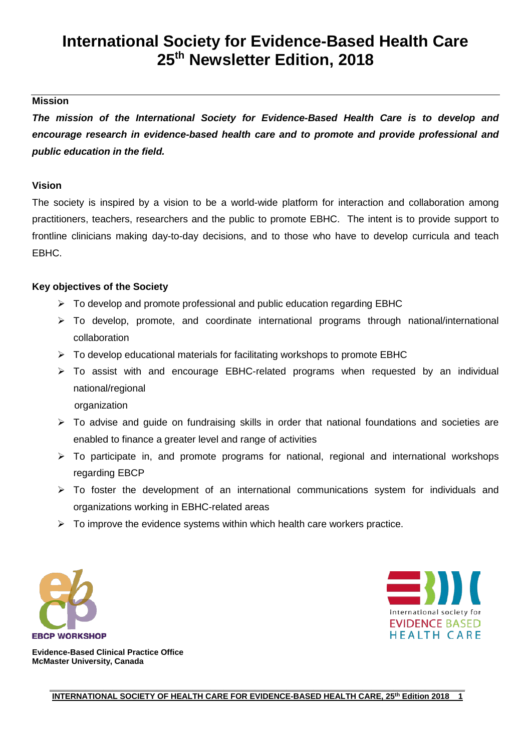# **International Society for Evidence-Based Health Care 25th Newsletter Edition, 2018**

### **Mission**

*The mission of the International Society for Evidence-Based Health Care is to develop and encourage research in evidence-based health care and to promote and provide professional and public education in the field.*

#### **Vision**

The society is inspired by a vision to be a world-wide platform for interaction and collaboration among practitioners, teachers, researchers and the public to promote EBHC. The intent is to provide support to frontline clinicians making day-to-day decisions, and to those who have to develop curricula and teach EBHC.

### **Key objectives of the Society**

- $\triangleright$  To develop and promote professional and public education regarding EBHC
- To develop, promote, and coordinate international programs through national/international collaboration
- $\triangleright$  To develop educational materials for facilitating workshops to promote EBHC
- $\triangleright$  To assist with and encourage EBHC-related programs when requested by an individual national/regional
	- organization
- $\triangleright$  To advise and guide on fundraising skills in order that national foundations and societies are enabled to finance a greater level and range of activities
- $\triangleright$  To participate in, and promote programs for national, regional and international workshops regarding EBCP
- $\triangleright$  To foster the development of an international communications system for individuals and organizations working in EBHC-related areas
- $\triangleright$  To improve the evidence systems within which health care workers practice.





**Evidence-Based Clinical Practice Office McMaster University, Canada**

> **\_\_\_\_\_\_\_\_\_\_\_\_\_\_\_\_\_\_\_\_\_\_\_\_\_\_\_\_\_\_\_\_\_\_\_\_\_\_\_\_\_\_\_\_\_\_\_\_\_\_\_\_\_\_\_\_\_\_\_\_\_\_\_\_\_\_\_\_\_\_\_\_\_\_\_\_\_\_\_\_\_\_\_\_\_\_\_\_\_\_\_\_\_ INTERNATIONAL SOCIETY OF HEALTH CARE FOR EVIDENCE-BASED HEALTH CARE, 25<sup>th</sup> Edition 2018 1**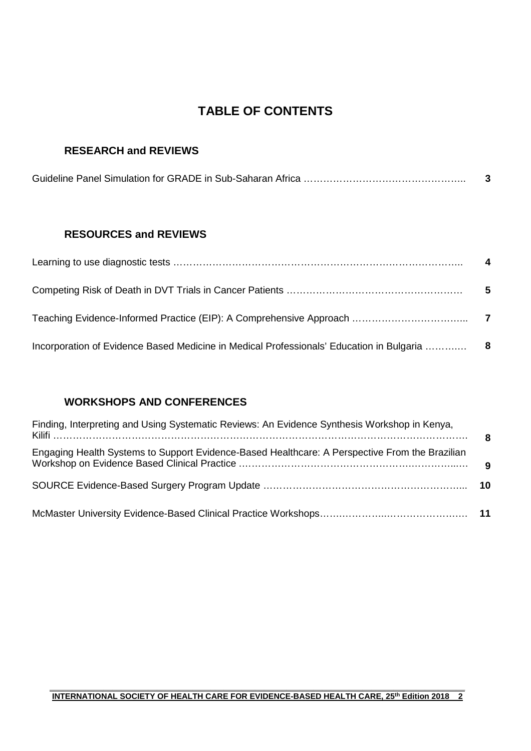# **TABLE OF CONTENTS**

## **RESEARCH and REVIEWS**

### **RESOURCES and REVIEWS**

| $\overline{\mathbf{4}}$ |
|-------------------------|
| - 5                     |
|                         |
|                         |

## **WORKSHOPS AND CONFERENCES**

| Finding, Interpreting and Using Systematic Reviews: An Evidence Synthesis Workshop in Kenya,   |  |
|------------------------------------------------------------------------------------------------|--|
| Engaging Health Systems to Support Evidence-Based Healthcare: A Perspective From the Brazilian |  |
|                                                                                                |  |
|                                                                                                |  |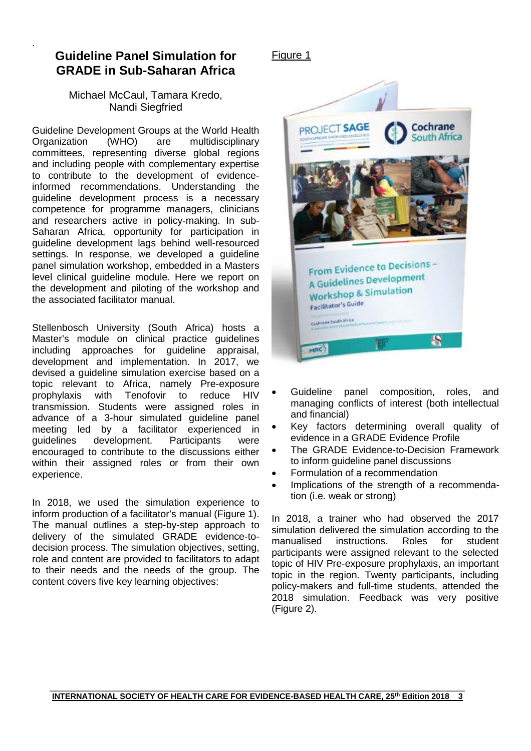# **Guideline Panel Simulation for GRADE in Sub-Saharan Africa**

.

### Michael McCaul, Tamara Kredo, Nandi Siegfried

Guideline Development Groups at the World Health<br>Organization (WHO) are multidisciplinary multidisciplinary committees, representing diverse global regions and including people with complementary expertise to contribute to the development of evidenceinformed recommendations. Understanding the guideline development process is a necessary competence for programme managers, clinicians and researchers active in policy-making. In sub-Saharan Africa, opportunity for participation in guideline development lags behind well-resourced settings. In response, we developed a guideline panel simulation workshop, embedded in a Masters level clinical guideline module. Here we report on the development and piloting of the workshop and the associated facilitator manual.

Stellenbosch University (South Africa) hosts a Master's module on clinical practice guidelines including approaches for guideline appraisal, development and implementation. In 2017, we devised a guideline simulation exercise based on a topic relevant to Africa, namely Pre-exposure prophylaxis with Tenofovir to reduce HIV transmission. Students were assigned roles in advance of a 3-hour simulated guideline panel meeting led by a facilitator experienced in guidelines development. Participants were encouraged to contribute to the discussions either within their assigned roles or from their own experience.

In 2018, we used the simulation experience to inform production of a facilitator's manual (Figure 1). The manual outlines a step-by-step approach to delivery of the simulated GRADE evidence-todecision process. The simulation objectives, setting, role and content are provided to facilitators to adapt to their needs and the needs of the group. The content covers five key learning objectives:

### Figure 1



- Guideline panel composition, roles, and managing conflicts of interest (both intellectual and financial)
- Key factors determining overall quality of evidence in a GRADE Evidence Profile
- The GRADE Evidence-to-Decision Framework to inform guideline panel discussions
- Formulation of a recommendation
- Implications of the strength of a recommendation (i.e. weak or strong)

In 2018, a trainer who had observed the 2017 simulation delivered the simulation according to the manualised instructions. Roles for student instructions. participants were assigned relevant to the selected topic of HIV Pre-exposure prophylaxis, an important topic in the region. Twenty participants, including policy-makers and full-time students, attended the 2018 simulation. Feedback was very positive (Figure 2).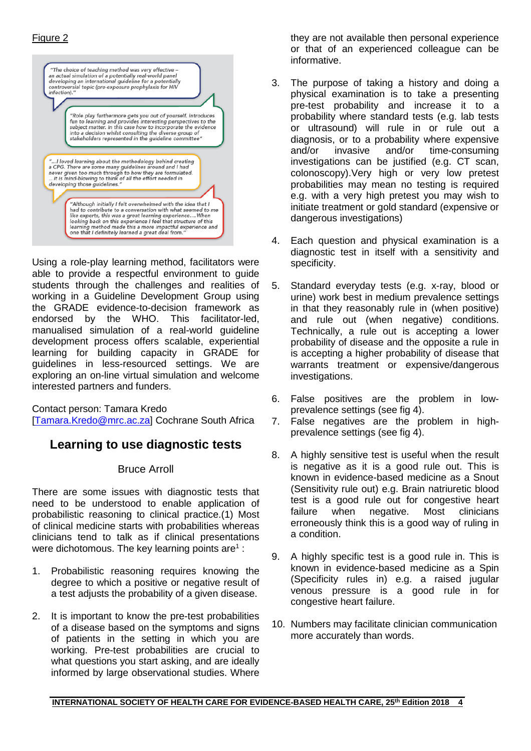### Figure 2



Using a role-play learning method, facilitators were able to provide a respectful environment to guide students through the challenges and realities of working in a Guideline Development Group using the GRADE evidence-to-decision framework as endorsed by the WHO. This facilitator-led, manualised simulation of a real-world guideline development process offers scalable, experiential learning for building capacity in GRADE for guidelines in less-resourced settings. We are exploring an on-line virtual simulation and welcome interested partners and funders.

Contact person: Tamara Kredo [Tamara.Kredo@mrc.ac.za] Cochrane South Africa

# **Learning to use diagnostic tests**

#### Bruce Arroll

There are some issues with diagnostic tests that need to be understood to enable application of probabilistic reasoning to clinical practice.(1) Most of clinical medicine starts with probabilities whereas clinicians tend to talk as if clinical presentations were dichotomous. The key learning points are<sup>1</sup> :

- 1. Probabilistic reasoning requires knowing the degree to which a positive or negative result of a test adjusts the probability of a given disease.
- 2. It is important to know the pre-test probabilities of a disease based on the symptoms and signs of patients in the setting in which you are working. Pre-test probabilities are crucial to what questions you start asking, and are ideally informed by large observational studies. Where

they are not available then personal experience or that of an experienced colleague can be informative.

- 3. The purpose of taking a history and doing a physical examination is to take a presenting pre-test probability and increase it to a probability where standard tests (e.g. lab tests or ultrasound) will rule in or rule out a diagnosis, or to a probability where expensive and/or invasive and/or time-consuming investigations can be justified (e.g. CT scan, colonoscopy).Very high or very low pretest probabilities may mean no testing is required e.g. with a very high pretest you may wish to initiate treatment or gold standard (expensive or dangerous investigations)
- 4. Each question and physical examination is a diagnostic test in itself with a sensitivity and specificity.
- 5. Standard everyday tests (e.g. x-ray, blood or urine) work best in medium prevalence settings in that they reasonably rule in (when positive) and rule out (when negative) conditions. Technically, a rule out is accepting a lower probability of disease and the opposite a rule in is accepting a higher probability of disease that warrants treatment or expensive/dangerous investigations.
- 6. False positives are the problem in lowprevalence settings (see fig 4).
- 7. False negatives are the problem in highprevalence settings (see fig 4).
- 8. A highly sensitive test is useful when the result is negative as it is a good rule out. This is known in evidence-based medicine as a Snout (Sensitivity rule out) e.g. Brain natriuretic blood test is a good rule out for congestive heart<br>failure when negative. Most clinicians failure when negative. Most clinicians erroneously think this is a good way of ruling in a condition.
- 9. A highly specific test is a good rule in. This is known in evidence-based medicine as a Spin (Specificity rules in) e.g. a raised jugular venous pressure is a good rule in for congestive heart failure.
- 10. Numbers may facilitate clinician communication more accurately than words.

#### **\_\_\_\_\_\_\_\_\_\_\_\_\_\_\_\_\_\_\_\_\_\_\_\_\_\_\_\_\_\_\_\_\_\_\_\_\_\_\_\_\_\_\_\_\_\_\_\_\_\_\_\_\_\_\_\_\_\_\_\_\_\_\_\_\_\_\_\_\_\_\_\_\_\_\_\_\_\_\_\_\_\_\_\_\_\_\_\_\_\_\_\_\_ INTERNATIONAL SOCIETY OF HEALTH CARE FOR EVIDENCE-BASED HEALTH CARE, 25<sup>th</sup> Edition 2018 4**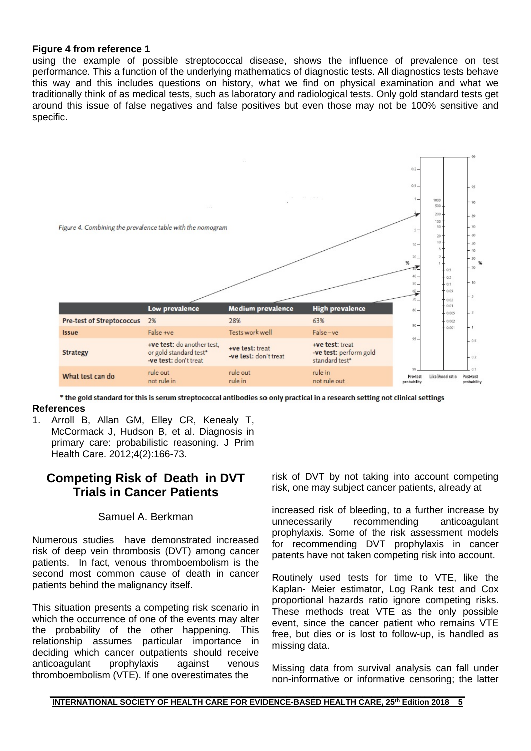#### **Figure 4 from reference 1**

using the example of possible streptococcal disease, shows the influence of prevalence on test performance. This a function of the underlying mathematics of diagnostic tests. All diagnostics tests behave this way and this includes questions on history, what we find on physical examination and what we traditionally think of as medical tests, such as laboratory and radiological tests. Only gold standard tests get around this issue of false negatives and false positives but even those may not be 100% sensitive and specific.



\* the gold standard for this is serum streptococcal antibodies so only practical in a research setting not clinical settings

- **References**
- 1. Arroll B, Allan GM, Elley CR, Kenealy T, McCormack J, Hudson B, et al. Diagnosis in primary care: probabilistic reasoning. J Prim Health Care. 2012;4(2):166-73.

# **Competing Risk of Death in DVT Trials in Cancer Patients**

#### Samuel A. Berkman

Numerous studies have demonstrated increased risk of deep vein thrombosis (DVT) among cancer patients. In fact, venous thromboembolism is the second most common cause of death in cancer patients behind the malignancy itself.

This situation presents a competing risk scenario in which the occurrence of one of the events may alter the probability of the other happening. This relationship assumes particular importance in deciding which cancer outpatients should receive anticoagulant prophylaxis against venous thromboembolism (VTE). If one overestimates the

risk of DVT by not taking into account competing risk, one may subject cancer patients, already at

increased risk of bleeding, to a further increase by unnecessarily recommending anticoagulant prophylaxis. Some of the risk assessment models for recommending DVT prophylaxis in cancer patents have not taken competing risk into account.

Routinely used tests for time to VTE, like the Kaplan- Meier estimator, Log Rank test and Cox proportional hazards ratio ignore competing risks. These methods treat VTE as the only possible event, since the cancer patient who remains VTE free, but dies or is lost to follow-up, is handled as missing data.

Missing data from survival analysis can fall under non-informative or informative censoring; the latter

**\_\_\_\_\_\_\_\_\_\_\_\_\_\_\_\_\_\_\_\_\_\_\_\_\_\_\_\_\_\_\_\_\_\_\_\_\_\_\_\_\_\_\_\_\_\_\_\_\_\_\_\_\_\_\_\_\_\_\_\_\_\_\_\_\_\_\_\_\_\_\_\_\_\_\_\_\_\_\_\_\_\_\_\_\_\_\_\_\_\_\_\_\_ INTERNATIONAL SOCIETY OF HEALTH CARE FOR EVIDENCE-BASED HEALTH CARE, 25<sup>th</sup> Edition 2018 5**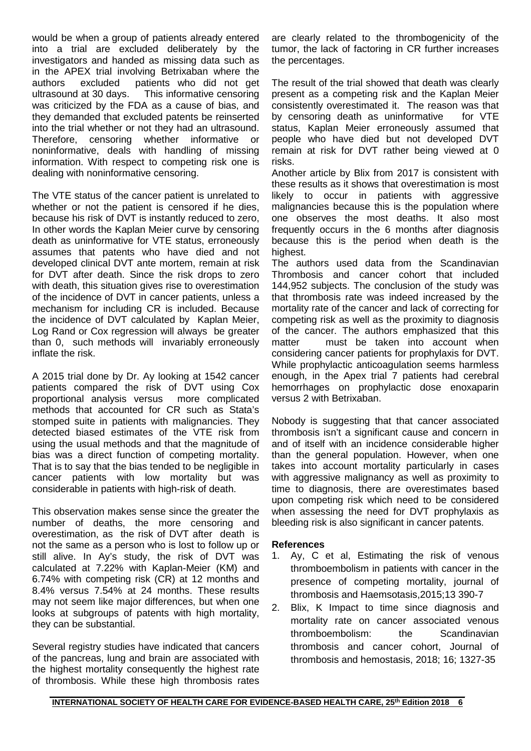would be when a group of patients already entered into a trial are excluded deliberately by the investigators and handed as missing data such as in the APEX trial involving Betrixaban where the authors excluded patients who did not get authors excluded patients who did not get This informative censoring. was criticized by the FDA as a cause of bias, and they demanded that excluded patents be reinserted into the trial whether or not they had an ultrasound. Therefore, censoring whether informative or noninformative, deals with handling of missing information. With respect to competing risk one is dealing with noninformative censoring.

The VTE status of the cancer patient is unrelated to whether or not the patient is censored if he dies, because his risk of DVT is instantly reduced to zero, In other words the Kaplan Meier curve by censoring death as uninformative for VTE status, erroneously assumes that patents who have died and not developed clinical DVT ante mortem, remain at risk for DVT after death. Since the risk drops to zero with death, this situation gives rise to overestimation of the incidence of DVT in cancer patients, unless a mechanism for including CR is included. Because the incidence of DVT calculated by Kaplan Meier, Log Rand or Cox regression will always be greater than 0, such methods will invariably erroneously inflate the risk.

A 2015 trial done by Dr. Ay looking at 1542 cancer patients compared the risk of DVT using Cox proportional analysis versus more complicated methods that accounted for CR such as Stata's stomped suite in patients with malignancies. They detected biased estimates of the VTE risk from using the usual methods and that the magnitude of bias was a direct function of competing mortality. That is to say that the bias tended to be negligible in cancer patients with low mortality but was considerable in patients with high-risk of death.

This observation makes sense since the greater the number of deaths, the more censoring and overestimation, as the risk of DVT after death is not the same as a person who is lost to follow up or still alive. In Ay's study, the risk of DVT was calculated at 7.22% with Kaplan-Meier (KM) and 6.74% with competing risk (CR) at 12 months and 8.4% versus 7.54% at 24 months. These results may not seem like major differences, but when one looks at subgroups of patents with high mortality, they can be substantial.

Several registry studies have indicated that cancers of the pancreas, lung and brain are associated with the highest mortality consequently the highest rate of thrombosis. While these high thrombosis rates are clearly related to the thrombogenicity of the tumor, the lack of factoring in CR further increases the percentages.

The result of the trial showed that death was clearly present as a competing risk and the Kaplan Meier consistently overestimated it. The reason was that<br>by censoring death as uninformative for VTE by censoring death as uninformative status, Kaplan Meier erroneously assumed that people who have died but not developed DVT remain at risk for DVT rather being viewed at 0 risks.

Another article by Blix from 2017 is consistent with these results as it shows that overestimation is most likely to occur in patients with aggressive malignancies because this is the population where one observes the most deaths. It also most frequently occurs in the 6 months after diagnosis because this is the period when death is the highest.

The authors used data from the Scandinavian Thrombosis and cancer cohort that included 144,952 subjects. The conclusion of the study was that thrombosis rate was indeed increased by the mortality rate of the cancer and lack of correcting for competing risk as well as the proximity to diagnosis of the cancer. The authors emphasized that this matter must be taken into account when considering cancer patients for prophylaxis for DVT. While prophylactic anticoagulation seems harmless enough, in the Apex trial 7 patients had cerebral hemorrhages on prophylactic dose enoxaparin versus 2 with Betrixaban.

Nobody is suggesting that that cancer associated thrombosis isn't a significant cause and concern in and of itself with an incidence considerable higher than the general population. However, when one takes into account mortality particularly in cases with aggressive malignancy as well as proximity to time to diagnosis, there are overestimates based upon competing risk which need to be considered when assessing the need for DVT prophylaxis as bleeding risk is also significant in cancer patents.

#### **References**

- 1. Ay, C et al, Estimating the risk of venous thromboembolism in patients with cancer in the presence of competing mortality, journal of thrombosis and Haemsotasis,2015;13 390-7
- 2. Blix, K Impact to time since diagnosis and mortality rate on cancer associated venous thromboembolism: the Scandinavian thrombosis and cancer cohort, Journal of thrombosis and hemostasis, 2018; 16; 1327-35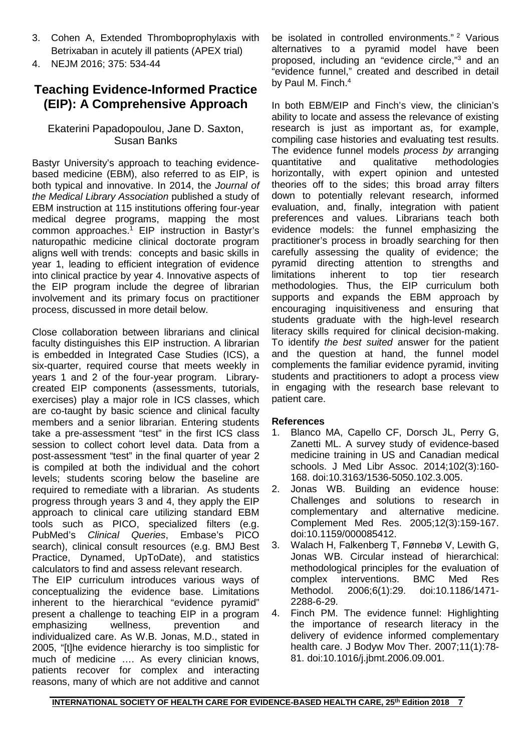- 3. Cohen A, Extended Thromboprophylaxis with Betrixaban in acutely ill patients (APEX trial)
- 4. NEJM 2016; 375: 534-44

# **Teaching Evidence-Informed Practice (EIP): A Comprehensive Approach**

### Ekaterini Papadopoulou, Jane D. Saxton, Susan Banks

Bastyr University's approach to teaching evidencebased medicine (EBM), also referred to as EIP, is both typical and innovative. In 2014, the *Journal of the Medical Library Association* published a study of EBM instruction at 115 institutions offering four-year medical degree programs, mapping the most common approaches.<sup>1</sup> EIP instruction in Bastyr's naturopathic medicine clinical doctorate program aligns well with trends: concepts and basic skills in year 1, leading to efficient integration of evidence into clinical practice by year 4. Innovative aspects of the EIP program include the degree of librarian involvement and its primary focus on practitioner process, discussed in more detail below.

Close collaboration between librarians and clinical faculty distinguishes this EIP instruction. A librarian is embedded in Integrated Case Studies (ICS), a six-quarter, required course that meets weekly in years 1 and 2 of the four-year program. Librarycreated EIP components (assessments, tutorials, exercises) play a major role in ICS classes, which are co-taught by basic science and clinical faculty members and a senior librarian. Entering students take a pre-assessment "test" in the first ICS class session to collect cohort level data. Data from a post-assessment "test" in the final quarter of year 2 is compiled at both the individual and the cohort levels; students scoring below the baseline are required to remediate with a librarian. As students progress through years 3 and 4, they apply the EIP approach to clinical care utilizing standard EBM tools such as PICO, specialized filters (e.g. PubMed's *Clinical Queries*, Embase's PICO search), clinical consult resources (e.g. BMJ Best Practice, Dynamed, UpToDate), and statistics calculators to find and assess relevant research.

The EIP curriculum introduces various ways of conceptualizing the evidence base. Limitations inherent to the hierarchical "evidence pyramid" present a challenge to teaching EIP in a program emphasizing wellness, prevention and individualized care. As W.B. Jonas, M.D., stated in 2005, "[t]he evidence hierarchy is too simplistic for much of medicine …. As every clinician knows, patients recover for complex and interacting reasons, many of which are not additive and cannot

be isolated in controlled environments." <sup>2</sup> Various alternatives to a pyramid model have been proposed, including an "evidence circle,"3 and an "evidence funnel," created and described in detail by Paul M. Finch.<sup>4</sup>

In both EBM/EIP and Finch's view, the clinician's ability to locate and assess the relevance of existing research is just as important as, for example, compiling case histories and evaluating test results. The evidence funnel models *process by* arranging methodologies horizontally, with expert opinion and untested theories off to the sides; this broad array filters down to potentially relevant research, informed evaluation, and, finally, integration with patient preferences and values. Librarians teach both evidence models: the funnel emphasizing the practitioner's process in broadly searching for then carefully assessing the quality of evidence; the pyramid directing attention to strengths and limitations inherent to top tier research methodologies. Thus, the EIP curriculum both supports and expands the EBM approach by encouraging inquisitiveness and ensuring that students graduate with the high-level research literacy skills required for clinical decision-making. To identify *the best suited* answer for the patient and the question at hand, the funnel model complements the familiar evidence pyramid, inviting students and practitioners to adopt a process view in engaging with the research base relevant to patient care.

#### **References**

- 1. Blanco MA, Capello CF, Dorsch JL, Perry G, Zanetti ML. A survey study of evidence-based medicine training in US and Canadian medical schools. J Med Libr Assoc. 2014;102(3):160- 168. doi:10.3163/1536-5050.102.3.005.
- 2. Jonas WB. Building an evidence house: Challenges and solutions to research in complementary and alternative medicine. Complement Med Res. 2005;12(3):159-167. doi:10.1159/000085412.
- 3. Walach H, Falkenberg T, Fønnebø V, Lewith G, Jonas WB. Circular instead of hierarchical: methodological principles for the evaluation of complex interventions. BMC Med Res<br>Methodol. 2006;6(1):29. doi:10.1186/1471doi:10.1186/1471-2288-6-29.
- 4. Finch PM. The evidence funnel: Highlighting the importance of research literacy in the delivery of evidence informed complementary health care. J Bodyw Mov Ther. 2007;11(1):78- 81. doi:10.1016/j.jbmt.2006.09.001.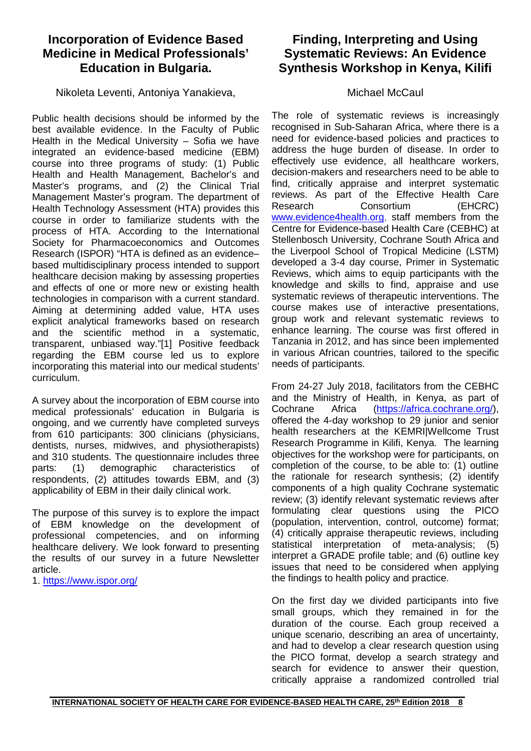# **Incorporation of Evidence Based Medicine in Medical Professionals' Education in Bulgaria.**

Nikoleta Leventi, Antoniya Yanakieva,

Public health decisions should be informed by the best available evidence. In the Faculty of Public Health in the Medical University – Sofia we have integrated an evidence-based medicine (EBM) course into three programs of study: (1) Public Health and Health Management, Bachelor's and Master's programs, and (2) the Clinical Trial Management Master's program. The department of Health Technology Assessment (HTA) provides this course in order to familiarize students with the process of HTA. According to the International Society for Pharmacoeconomics and Outcomes Research (ISPOR) "HTA is defined as an evidence– based multidisciplinary process intended to support healthcare decision making by assessing properties and effects of one or more new or existing health technologies in comparison with a current standard. Aiming at determining added value, HTA uses explicit analytical frameworks based on research and the scientific method in a systematic, transparent, unbiased way."[1] Positive feedback regarding the EBM course led us to explore incorporating this material into our medical students' curriculum.

A survey about the incorporation of EBM course into medical professionals' education in Bulgaria is ongoing, and we currently have completed surveys from 610 participants: 300 clinicians (physicians, dentists, nurses, midwives, and physiotherapists) and 310 students. The questionnaire includes three<br>parts: (1) demographic characteristics of parts: (1) demographic characteristics of respondents, (2) attitudes towards EBM, and (3) applicability of EBM in their daily clinical work.

The purpose of this survey is to explore the impact of EBM knowledge on the development of professional competencies, and on informing healthcare delivery. We look forward to presenting the results of our survey in a future Newsletter article.

1.<https://www.ispor.org/>

# **Finding, Interpreting and Using Systematic Reviews: An Evidence Synthesis Workshop in Kenya, Kilifi**

### Michael McCaul

The role of systematic reviews is increasingly recognised in Sub-Saharan Africa, where there is a need for evidence-based policies and practices to address the huge burden of disease. In order to effectively use evidence, all healthcare workers, decision-makers and researchers need to be able to find, critically appraise and interpret systematic reviews. As part of the Effective Health Care Research Consortium (EHCRC) [www.evidence4health.org,](http://www.evidence4health.org/) staff members from the Centre for Evidence-based Health Care (CEBHC) at Stellenbosch University, Cochrane South Africa and the Liverpool School of Tropical Medicine (LSTM) developed a 3-4 day course, Primer in Systematic Reviews, which aims to equip participants with the knowledge and skills to find, appraise and use systematic reviews of therapeutic interventions. The course makes use of interactive presentations, group work and relevant systematic reviews to enhance learning. The course was first offered in Tanzania in 2012, and has since been implemented in various African countries, tailored to the specific needs of participants.

From 24-27 July 2018, facilitators from the CEBHC and the Ministry of Health, in Kenya, as part of Cochrane Africa [\(https://africa.cochrane.org/\)](https://africa.cochrane.org/), offered the 4-day workshop to 29 junior and senior health researchers at the KEMRI|Wellcome Trust Research Programme in Kilifi, Kenya. The learning objectives for the workshop were for participants, on completion of the course, to be able to: (1) outline the rationale for research synthesis; (2) identify components of a high quality Cochrane systematic review; (3) identify relevant systematic reviews after formulating clear questions using the PICO (population, intervention, control, outcome) format; (4) critically appraise therapeutic reviews, including statistical interpretation of meta-analysis; (5) interpret a GRADE profile table; and (6) outline key issues that need to be considered when applying the findings to health policy and practice.

On the first day we divided participants into five small groups, which they remained in for the duration of the course. Each group received a unique scenario, describing an area of uncertainty, and had to develop a clear research question using the PICO format, develop a search strategy and search for evidence to answer their question, critically appraise a randomized controlled trial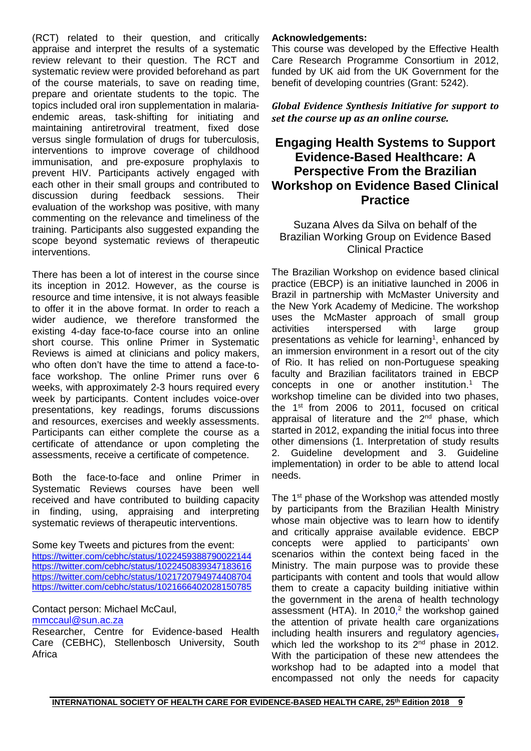(RCT) related to their question, and critically appraise and interpret the results of a systematic review relevant to their question. The RCT and systematic review were provided beforehand as part of the course materials, to save on reading time, prepare and orientate students to the topic. The topics included oral iron supplementation in malariaendemic areas, task-shifting for initiating and maintaining antiretroviral treatment, fixed dose versus single formulation of drugs for tuberculosis, interventions to improve coverage of childhood immunisation, and pre-exposure prophylaxis to prevent HIV. Participants actively engaged with each other in their small groups and contributed to discussion during feedback sessions. Their evaluation of the workshop was positive, with many commenting on the relevance and timeliness of the training. Participants also suggested expanding the scope beyond systematic reviews of therapeutic interventions.

There has been a lot of interest in the course since its inception in 2012. However, as the course is resource and time intensive, it is not always feasible to offer it in the above format. In order to reach a wider audience, we therefore transformed the existing 4-day face-to-face course into an online short course. This online Primer in Systematic Reviews is aimed at clinicians and policy makers, who often don't have the time to attend a face-toface workshop. The online Primer runs over 6 weeks, with approximately 2-3 hours required every week by participants. Content includes voice-over presentations, key readings, forums discussions and resources, exercises and weekly assessments. Participants can either complete the course as a certificate of attendance or upon completing the assessments, receive a certificate of competence.

Both the face-to-face and online Primer in Systematic Reviews courses have been well received and have contributed to building capacity in finding, using, appraising and interpreting systematic reviews of therapeutic interventions.

Some key Tweets and pictures from the event: <https://twitter.com/cebhc/status/1022459388790022144> <https://twitter.com/cebhc/status/1022450839347183616> <https://twitter.com/cebhc/status/1021720794974408704> <https://twitter.com/cebhc/status/1021666402028150785>

Contact person: Michael McCaul, [mmccaul@sun.ac.za](mailto:mmccaul@sun.ac.za)

Researcher, Centre for Evidence-based Health Care (CEBHC), Stellenbosch University, South Africa

#### **Acknowledgements:**

This course was developed by the Effective Health Care Research Programme Consortium in 2012, funded by UK aid from the UK Government for the benefit of developing countries (Grant: 5242).

*Global Evidence Synthesis Initiative for support to set the course up as an online course.*

# **Engaging Health Systems to Support Evidence-Based Healthcare: A Perspective From the Brazilian Workshop on Evidence Based Clinical Practice**

Suzana Alves da Silva on behalf of the Brazilian Working Group on Evidence Based Clinical Practice

The Brazilian Workshop on evidence based clinical practice (EBCP) is an initiative launched in 2006 in Brazil in partnership with McMaster University and the New York Academy of Medicine. The workshop uses the McMaster approach of small group<br>activities interspersed with large group interspersed with large group presentations as vehicle for learning<sup>1</sup>, enhanced by an immersion environment in a resort out of the city of Rio. It has relied on non-Portuguese speaking faculty and Brazilian facilitators trained in EBCP concepts in one or another institution.<sup>1</sup> The workshop timeline can be divided into two phases, the 1st from 2006 to 2011, focused on critical appraisal of literature and the  $2^{nd}$  phase, which started in 2012, expanding the initial focus into three other dimensions (1. Interpretation of study results 2. Guideline development and 3. Guideline implementation) in order to be able to attend local needs.

The 1<sup>st</sup> phase of the Workshop was attended mostly by participants from the Brazilian Health Ministry whose main objective was to learn how to identify and critically appraise available evidence. EBCP concepts were applied to participants' own scenarios within the context being faced in the Ministry. The main purpose was to provide these participants with content and tools that would allow them to create a capacity building initiative within the government in the arena of health technology assessment (HTA). In 2010,<sup>2</sup> the workshop gained the attention of private health care organizations including health insurers and regulatory agencies, which led the workshop to its 2<sup>nd</sup> phase in 2012. With the participation of these new attendees the workshop had to be adapted into a model that encompassed not only the needs for capacity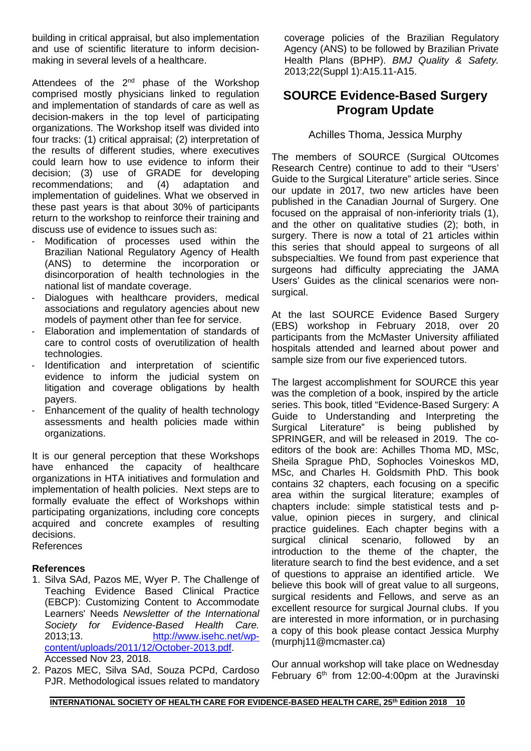building in critical appraisal, but also implementation and use of scientific literature to inform decisionmaking in several levels of a healthcare.

Attendees of the 2<sup>nd</sup> phase of the Workshop comprised mostly physicians linked to regulation and implementation of standards of care as well as decision-makers in the top level of participating organizations. The Workshop itself was divided into four tracks: (1) critical appraisal; (2) interpretation of the results of different studies, where executives could learn how to use evidence to inform their decision; (3) use of GRADE for developing<br>recommendations; and (4) adaptation and recommendations; and (4) adaptation and implementation of guidelines. What we observed in these past years is that about 30% of participants return to the workshop to reinforce their training and discuss use of evidence to issues such as:

- Modification of processes used within the Brazilian National Regulatory Agency of Health (ANS) to determine the incorporation or disincorporation of health technologies in the national list of mandate coverage.
- Dialogues with healthcare providers, medical associations and regulatory agencies about new models of payment other than fee for service.
- Elaboration and implementation of standards of care to control costs of overutilization of health technologies.
- Identification and interpretation of scientific evidence to inform the judicial system on litigation and coverage obligations by health payers.
- Enhancement of the quality of health technology assessments and health policies made within organizations.

It is our general perception that these Workshops have enhanced the capacity of healthcare organizations in HTA initiatives and formulation and implementation of health policies. Next steps are to formally evaluate the effect of Workshops within participating organizations, including core concepts acquired and concrete examples of resulting decisions.

References

#### **References**

- 1. Silva SAd, Pazos ME, Wyer P. The Challenge of Teaching Evidence Based Clinical Practice (EBCP): Customizing Content to Accommodate Learners' Needs *Newsletter of the International Society for Evidence-Based Health Care.*  2013;13. [http://www.isehc.net/wp](http://www.isehc.net/wp-content/uploads/2011/12/October-2013.pdf)[content/uploads/2011/12/October-2013.pdf.](http://www.isehc.net/wp-content/uploads/2011/12/October-2013.pdf) Accessed Nov 23, 2018.
- 2. Pazos MEC, Silva SAd, Souza PCPd, Cardoso PJR. Methodological issues related to mandatory

coverage policies of the Brazilian Regulatory Agency (ANS) to be followed by Brazilian Private Health Plans (BPHP). *BMJ Quality & Safety.*  2013;22(Suppl 1):A15.11-A15.

# **SOURCE Evidence-Based Surgery Program Update**

### Achilles Thoma, Jessica Murphy

The members of SOURCE (Surgical OUtcomes Research Centre) continue to add to their "Users' Guide to the Surgical Literature" article series. Since our update in 2017, two new articles have been published in the Canadian Journal of Surgery. One focused on the appraisal of non-inferiority trials (1), and the other on qualitative studies (2); both, in surgery. There is now a total of 21 articles within this series that should appeal to surgeons of all subspecialties. We found from past experience that surgeons had difficulty appreciating the JAMA Users' Guides as the clinical scenarios were nonsurgical.

At the last SOURCE Evidence Based Surgery (EBS) workshop in February 2018, over 20 participants from the McMaster University affiliated hospitals attended and learned about power and sample size from our five experienced tutors.

The largest accomplishment for SOURCE this year was the completion of a book, inspired by the article series. This book, titled "Evidence-Based Surgery: A Guide to Understanding and Interpreting the Surgical Literature" is being published by SPRINGER, and will be released in 2019. The coeditors of the book are: Achilles Thoma MD, MSc, Sheila Sprague PhD, Sophocles Voineskos MD, MSc, and Charles H. Goldsmith PhD. This book contains 32 chapters, each focusing on a specific area within the surgical literature; examples of chapters include: simple statistical tests and pvalue, opinion pieces in surgery, and clinical practice guidelines. Each chapter begins with a surgical clinical scenario, followed by an introduction to the theme of the chapter, the literature search to find the best evidence, and a set of questions to appraise an identified article. We believe this book will of great value to all surgeons, surgical residents and Fellows, and serve as an excellent resource for surgical Journal clubs. If you are interested in more information, or in purchasing a copy of this book please contact Jessica Murphy (murphj11@mcmaster.ca)

Our annual workshop will take place on Wednesday February  $6<sup>th</sup>$  from 12:00-4:00pm at the Juravinski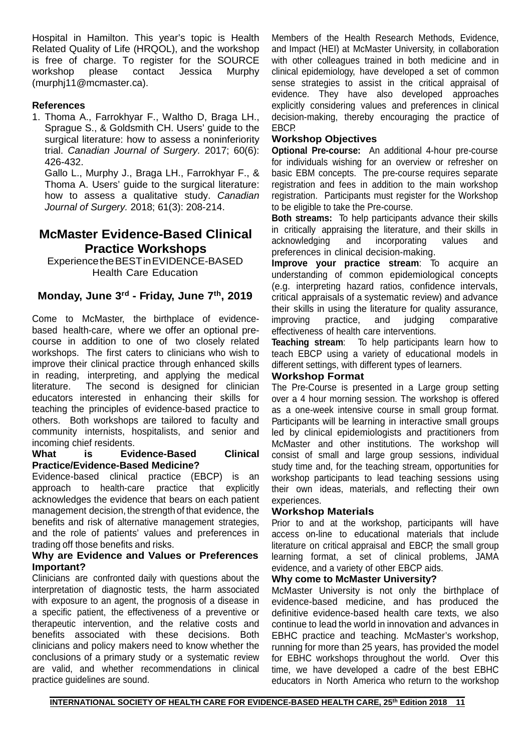Hospital in Hamilton. This year's topic is Health Related Quality of Life (HRQOL), and the workshop is free of charge. To register for the SOURCE<br>workshop please contact Jessica Murphy contact Jessica (murphj11@mcmaster.ca).

### **References**

1. Thoma A., Farrokhyar F., Waltho D, Braga LH., Sprague S., & Goldsmith CH. Users' guide to the surgical literature: how to assess a noninferiority trial. *Canadian Journal of Surgery.* 2017; 60(6): 426-432.

Gallo L., Murphy J., Braga LH., Farrokhyar F., & Thoma A. Users' guide to the surgical literature: how to assess a qualitative study. *Canadian Journal of Surgery.* 2018; 61(3): 208-214.

### **McMaster Evidence-Based Clinical Practice Workshops**

ExperiencetheBESTinEVIDENCE-BASED Health Care Education

### **Monday, June 3rd - Friday, June 7th, 2019**

Come to McMaster, the birthplace of evidencebased health-care, where we offer an optional precourse in addition to one of two closely related workshops. The first caters to clinicians who wish to improve their clinical practice through enhanced skills in reading, interpreting, and applying the medical literature. The second is designed for clinician The second is designed for clinician educators interested in enhancing their skills for teaching the principles of evidence-based practice to others. Both workshops are tailored to faculty and community internists, hospitalists, and senior and incoming chief residents.<br>
What is Evi

#### Evidence-Based Clinical **Practice/Evidence-Based Medicine?**

Evidence-based clinical practice (EBCP) is an approach to health-care practice that explicitly acknowledges the evidence that bears on each patient management decision, the strength of that evidence, the benefits and risk of alternative management strategies, and the role of patients' values and preferences in trading off those benefits and risks.

#### **Why are Evidence and Values or Preferences Important?**

Clinicians are confronted daily with questions about the interpretation of diagnostic tests, the harm associated with exposure to an agent, the prognosis of a disease in a specific patient, the effectiveness of a preventive or therapeutic intervention, and the relative costs and benefits associated with these decisions. Both clinicians and policy makers need to know whether the conclusions of a primary study or a systematic review are valid, and whether recommendations in clinical practice guidelines are sound.

Members of the Health Research Methods, Evidence, and Impact (HEI) at McMaster University, in collaboration with other colleagues trained in both medicine and in clinical epidemiology, have developed a set of common sense strategies to assist in the critical appraisal of evidence. They have also developed approaches explicitly considering values and preferences in clinical decision-making, thereby encouraging the practice of EBCP.

### **Workshop Objectives**

**Optional Pre-course:** An additional 4-hour pre-course for individuals wishing for an overview or refresher on basic EBM concepts. The pre-course requires separate registration and fees in addition to the main workshop registration. Participants must register for the Workshop to be eligible to take the Pre-course.

**Both streams:** To help participants advance their skills in critically appraising the literature, and their skills in acknowledging and incorporating values and acknowledging and incorporating values and preferences in clinical decision-making.

**Improve your practice stream**: To acquire an understanding of common epidemiological concepts (e.g. interpreting hazard ratios, confidence intervals, critical appraisals of a systematic review) and advance their skills in using the literature for quality assurance, improving practice, and judging comparative effectiveness of health care interventions.

**Teaching stream**: To help participants learn how to teach EBCP using a variety of educational models in different settings, with different types of learners.

#### **Workshop Format**

The Pre-Course is presented in a Large group setting over a 4 hour morning session. The workshop is offered as a one-week intensive course in small group format. Participants will be learning in interactive small groups led by clinical epidemiologists and practitioners from McMaster and other institutions. The workshop will consist of small and large group sessions, individual study time and, for the teaching stream, opportunities for workshop participants to lead teaching sessions using their own ideas, materials, and reflecting their own experiences.

#### **Workshop Materials**

Prior to and at the workshop, participants will have access on-line to educational materials that include literature on critical appraisal and EBCP, the small group learning format, a set of clinical problems, JAMA evidence, and a variety of other EBCP aids.

#### **Why come to McMaster University?**

McMaster University is not only the birthplace of evidence-based medicine, and has produced the definitive evidence-based health care texts, we also continue to lead the world in innovation and advances in EBHC practice and teaching. McMaster's workshop, running for more than 25 years, has provided the model for EBHC workshops throughout the world. Over this time, we have developed a cadre of the best EBHC educators in North America who return to the workshop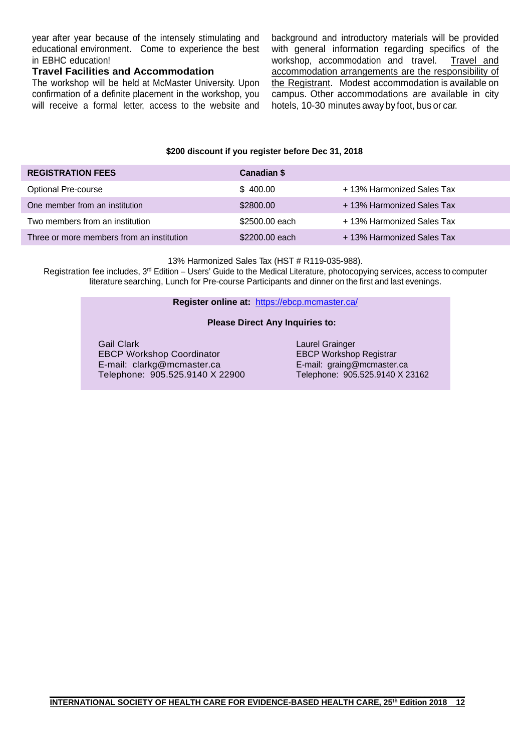year after year because of the intensely stimulating and educational environment. Come to experience the best in EBHC education!

#### **Travel Facilities and Accommodation**

The workshop will be held at McMaster University. Upon confirmation of a definite placement in the workshop, you will receive a formal letter, access to the website and background and introductory materials will be provided with general information regarding specifics of the workshop, accommodation and travel. Travel and accommodation arrangements are the responsibility of the Registrant. Modest accommodation is available on campus. Other accommodations are available in city hotels, 10-30 minutes away by foot, bus or car.

#### **\$200 discount if you register before Dec 31, 2018**

| <b>REGISTRATION FEES</b>                  | Canadian \$    |                            |
|-------------------------------------------|----------------|----------------------------|
| <b>Optional Pre-course</b>                | \$400.00       | + 13% Harmonized Sales Tax |
| One member from an institution            | \$2800.00      | + 13% Harmonized Sales Tax |
| Two members from an institution           | \$2500.00 each | +13% Harmonized Sales Tax  |
| Three or more members from an institution | \$2200,00 each | + 13% Harmonized Sales Tax |

13% Harmonized Sales Tax (HST # R119-035-988).

Registration fee includes, 3<sup>rd</sup> Edition – Users' Guide to the Medical Literature, photocopying services, access to computer literature searching, Lunch for Pre-course Participants and dinner on the first and last evenings.

**Register online at:** <https://ebcp.mcmaster.ca/>

#### **Please Direct Any Inquiries to:**

Gail Clark EBCP Workshop Coordinator E-mail: clarkg@mcmaster.ca Telephone: 905.525.9140 X 22900 Laurel Grainger EBCP Workshop Registrar E-mail: graing@mcmaster.ca Telephone: 905.525.9140 X 23162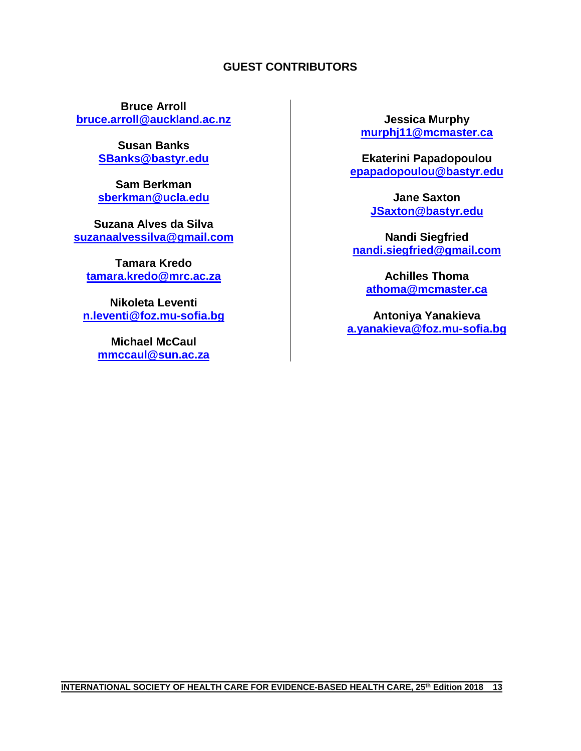### **GUEST CONTRIBUTORS**

**Bruce Arroll [bruce.arroll@auckland.ac.nz](mailto:bruce.arroll@auckland.ac.nz)**

> **Susan Banks [SBanks@bastyr.edu](mailto:SBanks@bastyr.edu)**

> **Sam Berkman sberkman@ucla.edu**

**Suzana Alves da Silva [suzanaalvessilva@gmail.com](mailto:suzanaalvessilva@gmail.com)**

**Tamara Kredo tamara.kredo@mrc.ac.za**

**Nikoleta Leventi n.leventi@foz.mu-sofia.bg**

> **Michael McCaul [mmccaul@sun.ac.za](mailto:mmccaul@sun.ac.za)**

**Jessica Murphy murphj11@mcmaster.ca**

**Ekaterini Papadopoulou epapadopoulou@bastyr.edu**

> **Jane Saxton [JSaxton@bastyr.edu](mailto:JSaxton@bastyr.edu)**

**Nandi Siegfried [nandi.siegfried@gmail.com](mailto:nandi.siegfried@gmail.com)**

**Achilles Thoma athoma@mcmaster.ca**

**Antoniya Yanakieva a.yanakieva@foz.mu-sofia.bg**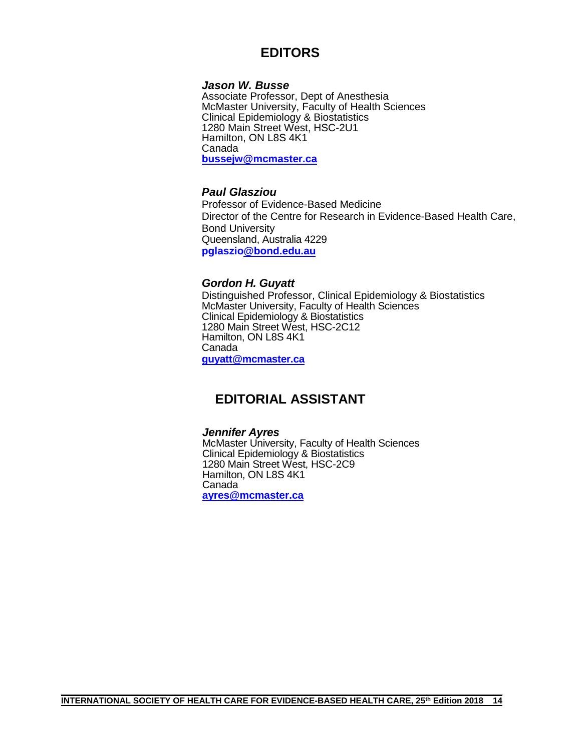# **EDITORS**

#### *Jason W. Busse*

Associate Professor, Dept of Anesthesia McMaster University, Faculty of Health Sciences Clinical Epidemiology & Biostatistics 1280 Main Street West, HSC-2U1 Hamilton, ON L8S 4K1 Canada **[bussejw@mcmaster.ca](mailto:bussejw@mcmaster.ca)**

#### *Paul Glasziou*

Professor of Evidence-Based Medicine Director of the Centre for Research in Evidence-Based Health Care, Bond University Queensland, Australia 4229 **pglaszi[o@bond.edu.au](mailto:Paul_Glasziou@bond.edu.au)**

#### *Gordon H. Guyatt*

Distinguished Professor, Clinical Epidemiology & Biostatistics McMaster University, Faculty of Health Sciences Clinical Epidemiology & Biostatistics 1280 Main Street West, HSC-2C12 Hamilton, ON L8S 4K1 Canada **[guyatt@mcmaster.ca](mailto:guyatt@mcmaster.ca)**

## **EDITORIAL ASSISTANT**

#### *Jennifer Ayres*

McMaster University, Faculty of Health Sciences Clinical Epidemiology & Biostatistics 1280 Main Street West, HSC-2C9 Hamilton, ON L8S 4K1 Canada **[ayres@mcmaster.ca](mailto:ayres@mcmaster.ca)**